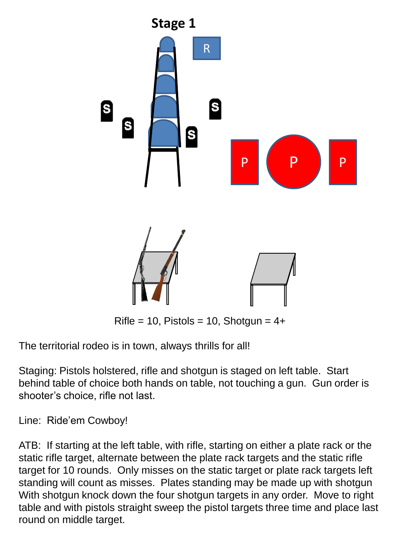

 $Rifle = 10$ , Pistols = 10, Shotgun = 4+

The territorial rodeo is in town, always thrills for all!

Staging: Pistols holstered, rifle and shotgun is staged on left table. Start behind table of choice both hands on table, not touching a gun. Gun order is shooter's choice, rifle not last.

Line: Ride'em Cowboy!

ATB: If starting at the left table, with rifle, starting on either a plate rack or the static rifle target, alternate between the plate rack targets and the static rifle target for 10 rounds. Only misses on the static target or plate rack targets left standing will count as misses. Plates standing may be made up with shotgun With shotgun knock down the four shotgun targets in any order. Move to right table and with pistols straight sweep the pistol targets three time and place last round on middle target.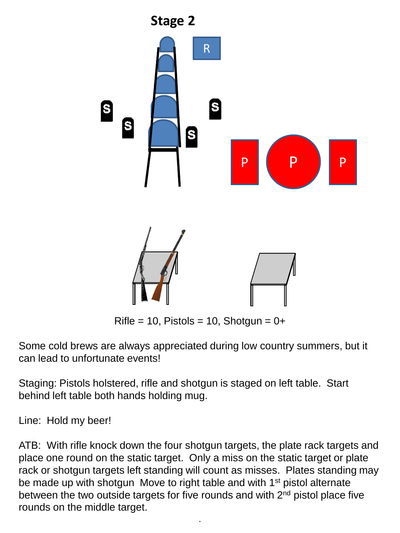

 $Rifle = 10$ , Pistols = 10, Shotgun = 0+

Some cold brews are always appreciated during low country summers, but it can lead to unfortunate events!

Staging: Pistols holstered, rifle and shotgun is staged on left table. Start behind left table both hands holding mug.

Line: Hold my beer!

ATB: With rifle knock down the four shotgun targets, the plate rack targets and place one round on the static target. Only a miss on the static target or plate rack or shotgun targets left standing will count as misses. Plates standing may be made up with shotgun Move to right table and with 1<sup>st</sup> pistol alternate between the two outside targets for five rounds and with 2nd pistol place five rounds on the middle target.

.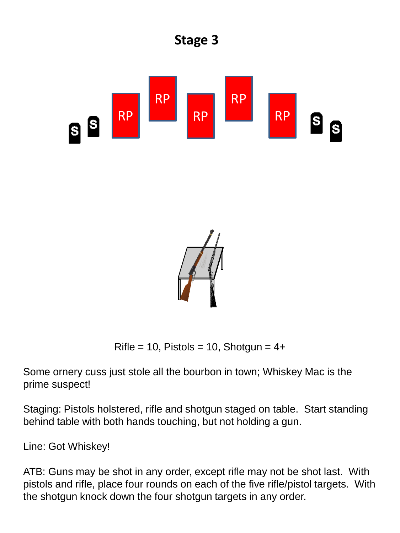

Rifle = 10, Pistols = 10, Shotgun =  $4+$ 

Some ornery cuss just stole all the bourbon in town; Whiskey Mac is the prime suspect!

Staging: Pistols holstered, rifle and shotgun staged on table. Start standing behind table with both hands touching, but not holding a gun.

Line: Got Whiskey!

ATB: Guns may be shot in any order, except rifle may not be shot last. With pistols and rifle, place four rounds on each of the five rifle/pistol targets. With the shotgun knock down the four shotgun targets in any order.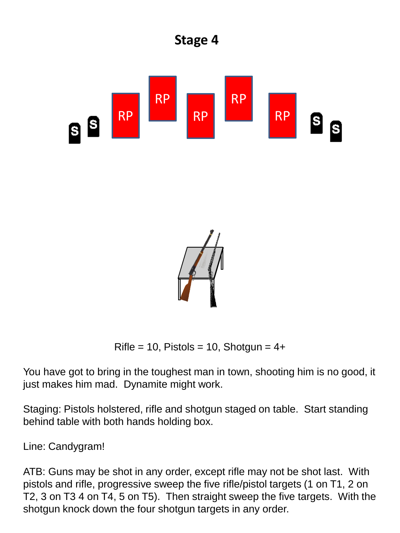

 $Rifle = 10$ , Pistols = 10, Shotgun = 4+

You have got to bring in the toughest man in town, shooting him is no good, it just makes him mad. Dynamite might work.

Staging: Pistols holstered, rifle and shotgun staged on table. Start standing behind table with both hands holding box.

Line: Candygram!

ATB: Guns may be shot in any order, except rifle may not be shot last. With pistols and rifle, progressive sweep the five rifle/pistol targets (1 on T1, 2 on T2, 3 on T3 4 on T4, 5 on T5). Then straight sweep the five targets. With the shotgun knock down the four shotgun targets in any order.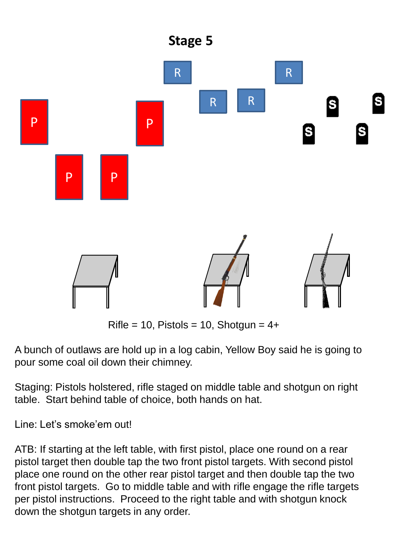

 $Rifle = 10$ , Pistols = 10, Shotgun =  $4+$ 

A bunch of outlaws are hold up in a log cabin, Yellow Boy said he is going to pour some coal oil down their chimney.

Staging: Pistols holstered, rifle staged on middle table and shotgun on right table. Start behind table of choice, both hands on hat.

Line: Let's smoke'em out!

ATB: If starting at the left table, with first pistol, place one round on a rear pistol target then double tap the two front pistol targets. With second pistol place one round on the other rear pistol target and then double tap the two front pistol targets. Go to middle table and with rifle engage the rifle targets per pistol instructions. Proceed to the right table and with shotgun knock down the shotgun targets in any order.